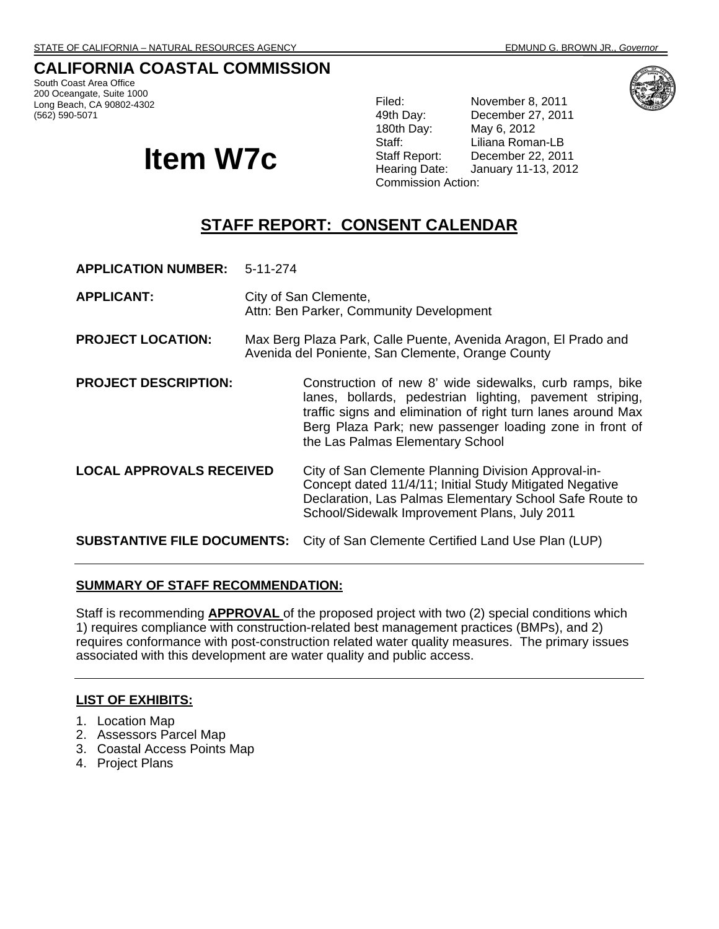## **CALIFORNIA COASTAL COMMISSION**

South Coast Area Office 200 Oceangate, Suite 1000 Long Beach, CA 90802-4302 (562) 590-5071

# **Item W7c**

Filed: November 8, 2011 49th Day: December 27, 2011<br>180th Day: May 6, 2012 May 6, 2012 Staff: Liliana Roman-LB Staff Report: December 22, 2011 Hearing Date: January 11-13, 2012 Commission Action:

## **STAFF REPORT: CONSENT CALENDAR**

**APPLICATION NUMBER:** 5-11-274

- **APPLICANT:** City of San Clemente, Attn: Ben Parker, Community Development
- **PROJECT LOCATION:** Max Berg Plaza Park, Calle Puente, Avenida Aragon, El Prado and Avenida del Poniente, San Clemente, Orange County
- **PROJECT DESCRIPTION:** Construction of new 8' wide sidewalks, curb ramps, bike lanes, bollards, pedestrian lighting, pavement striping, traffic signs and elimination of right turn lanes around Max Berg Plaza Park; new passenger loading zone in front of the Las Palmas Elementary School
- **LOCAL APPROVALS RECEIVED** City of San Clemente Planning Division Approval-in-Concept dated 11/4/11; Initial Study Mitigated Negative Declaration, Las Palmas Elementary School Safe Route to School/Sidewalk Improvement Plans, July 2011

**SUBSTANTIVE FILE DOCUMENTS:** City of San Clemente Certified Land Use Plan (LUP)

#### **SUMMARY OF STAFF RECOMMENDATION:**

Staff is recommending **APPROVAL** of the proposed project with two (2) special conditions which 1) requires compliance with construction-related best management practices (BMPs), and 2) requires conformance with post-construction related water quality measures. The primary issues associated with this development are water quality and public access.

## **LIST OF EXHIBITS:**

- 1. Location Map
- 2. Assessors Parcel Map
- 3. Coastal Access Points Map
- 4. Project Plans

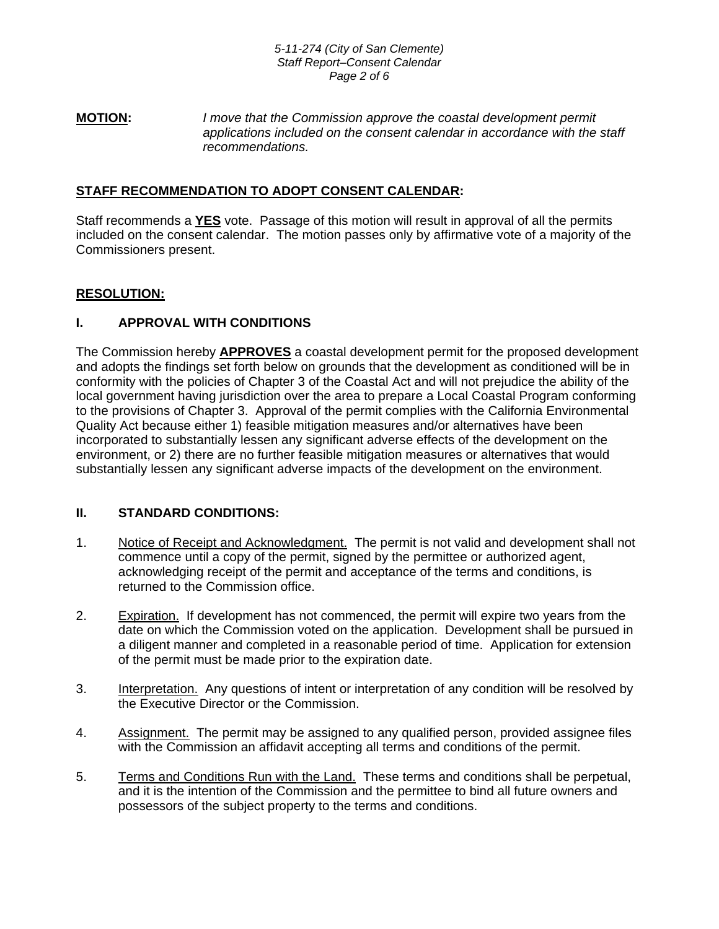**MOTION:** *I move that the Commission approve the coastal development permit applications included on the consent calendar in accordance with the staff recommendations.* 

## **STAFF RECOMMENDATION TO ADOPT CONSENT CALENDAR:**

Staff recommends a **YES** vote. Passage of this motion will result in approval of all the permits included on the consent calendar. The motion passes only by affirmative vote of a majority of the Commissioners present.

## **RESOLUTION:**

## **I. APPROVAL WITH CONDITIONS**

The Commission hereby **APPROVES** a coastal development permit for the proposed development and adopts the findings set forth below on grounds that the development as conditioned will be in conformity with the policies of Chapter 3 of the Coastal Act and will not prejudice the ability of the local government having jurisdiction over the area to prepare a Local Coastal Program conforming to the provisions of Chapter 3. Approval of the permit complies with the California Environmental Quality Act because either 1) feasible mitigation measures and/or alternatives have been incorporated to substantially lessen any significant adverse effects of the development on the environment, or 2) there are no further feasible mitigation measures or alternatives that would substantially lessen any significant adverse impacts of the development on the environment.

## **II. STANDARD CONDITIONS:**

- 1. Notice of Receipt and Acknowledgment. The permit is not valid and development shall not commence until a copy of the permit, signed by the permittee or authorized agent, acknowledging receipt of the permit and acceptance of the terms and conditions, is returned to the Commission office.
- 2. Expiration. If development has not commenced, the permit will expire two years from the date on which the Commission voted on the application. Development shall be pursued in a diligent manner and completed in a reasonable period of time. Application for extension of the permit must be made prior to the expiration date.
- 3. Interpretation. Any questions of intent or interpretation of any condition will be resolved by the Executive Director or the Commission.
- 4. Assignment. The permit may be assigned to any qualified person, provided assignee files with the Commission an affidavit accepting all terms and conditions of the permit.
- 5. Terms and Conditions Run with the Land. These terms and conditions shall be perpetual, and it is the intention of the Commission and the permittee to bind all future owners and possessors of the subject property to the terms and conditions.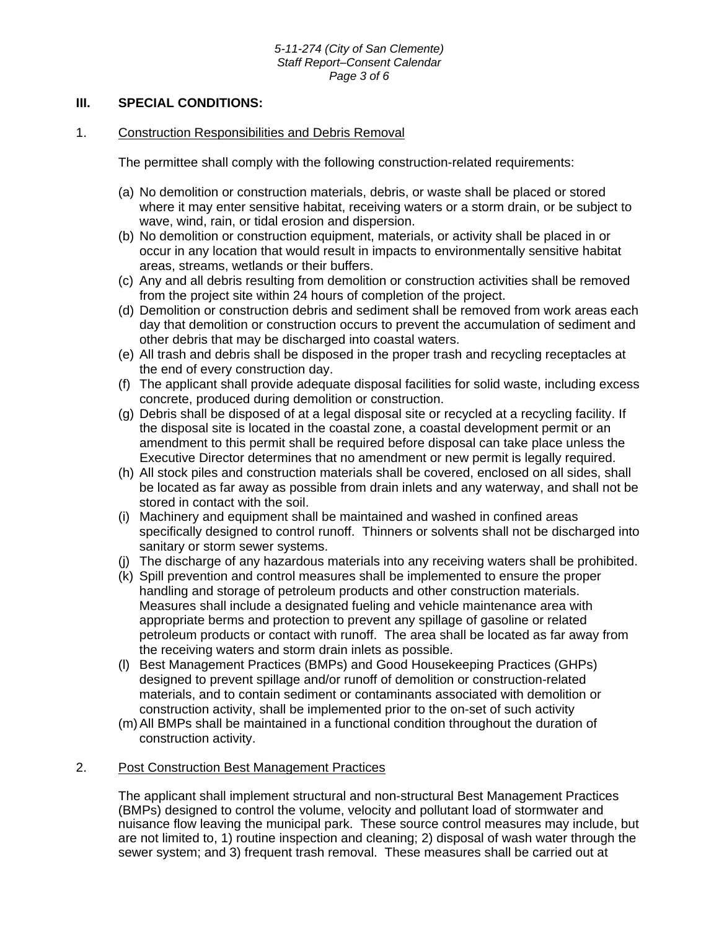#### *5-11-274 (City of San Clemente) Staff Report–Consent Calendar Page 3 of 6*

#### **III. SPECIAL CONDITIONS:**

#### 1. Construction Responsibilities and Debris Removal

The permittee shall comply with the following construction-related requirements:

- (a) No demolition or construction materials, debris, or waste shall be placed or stored where it may enter sensitive habitat, receiving waters or a storm drain, or be subject to wave, wind, rain, or tidal erosion and dispersion.
- (b) No demolition or construction equipment, materials, or activity shall be placed in or occur in any location that would result in impacts to environmentally sensitive habitat areas, streams, wetlands or their buffers.
- (c) Any and all debris resulting from demolition or construction activities shall be removed from the project site within 24 hours of completion of the project.
- (d) Demolition or construction debris and sediment shall be removed from work areas each day that demolition or construction occurs to prevent the accumulation of sediment and other debris that may be discharged into coastal waters.
- (e) All trash and debris shall be disposed in the proper trash and recycling receptacles at the end of every construction day.
- (f) The applicant shall provide adequate disposal facilities for solid waste, including excess concrete, produced during demolition or construction.
- (g) Debris shall be disposed of at a legal disposal site or recycled at a recycling facility. If the disposal site is located in the coastal zone, a coastal development permit or an amendment to this permit shall be required before disposal can take place unless the Executive Director determines that no amendment or new permit is legally required.
- (h) All stock piles and construction materials shall be covered, enclosed on all sides, shall be located as far away as possible from drain inlets and any waterway, and shall not be stored in contact with the soil.
- (i) Machinery and equipment shall be maintained and washed in confined areas specifically designed to control runoff. Thinners or solvents shall not be discharged into sanitary or storm sewer systems.
- (j) The discharge of any hazardous materials into any receiving waters shall be prohibited.
- (k) Spill prevention and control measures shall be implemented to ensure the proper handling and storage of petroleum products and other construction materials. Measures shall include a designated fueling and vehicle maintenance area with appropriate berms and protection to prevent any spillage of gasoline or related petroleum products or contact with runoff. The area shall be located as far away from the receiving waters and storm drain inlets as possible.
- (l) Best Management Practices (BMPs) and Good Housekeeping Practices (GHPs) designed to prevent spillage and/or runoff of demolition or construction-related materials, and to contain sediment or contaminants associated with demolition or construction activity, shall be implemented prior to the on-set of such activity
- (m) All BMPs shall be maintained in a functional condition throughout the duration of construction activity.

#### 2. Post Construction Best Management Practices

The applicant shall implement structural and non-structural Best Management Practices (BMPs) designed to control the volume, velocity and pollutant load of stormwater and nuisance flow leaving the municipal park. These source control measures may include, but are not limited to, 1) routine inspection and cleaning; 2) disposal of wash water through the sewer system; and 3) frequent trash removal. These measures shall be carried out at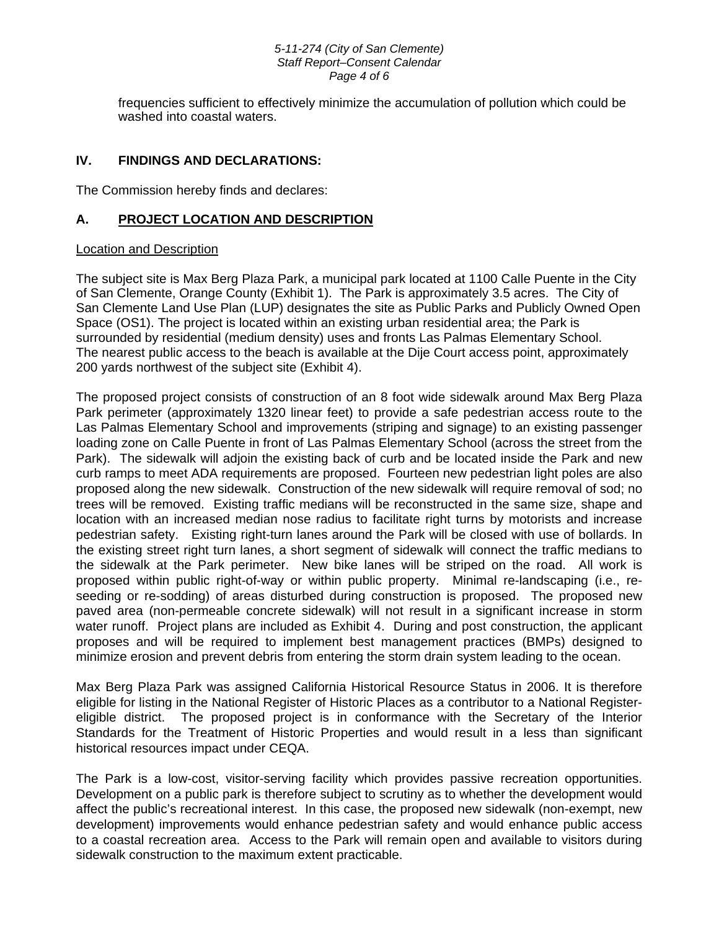#### *5-11-274 (City of San Clemente) Staff Report–Consent Calendar Page 4 of 6*

frequencies sufficient to effectively minimize the accumulation of pollution which could be washed into coastal waters.

## **IV. FINDINGS AND DECLARATIONS:**

The Commission hereby finds and declares:

## **A. PROJECT LOCATION AND DESCRIPTION**

#### Location and Description

The subject site is Max Berg Plaza Park, a municipal park located at 1100 Calle Puente in the City of San Clemente, Orange County (Exhibit 1). The Park is approximately 3.5 acres. The City of San Clemente Land Use Plan (LUP) designates the site as Public Parks and Publicly Owned Open Space (OS1). The project is located within an existing urban residential area; the Park is surrounded by residential (medium density) uses and fronts Las Palmas Elementary School. The nearest public access to the beach is available at the Dije Court access point, approximately 200 yards northwest of the subject site (Exhibit 4).

The proposed project consists of construction of an 8 foot wide sidewalk around Max Berg Plaza Park perimeter (approximately 1320 linear feet) to provide a safe pedestrian access route to the Las Palmas Elementary School and improvements (striping and signage) to an existing passenger loading zone on Calle Puente in front of Las Palmas Elementary School (across the street from the Park). The sidewalk will adjoin the existing back of curb and be located inside the Park and new curb ramps to meet ADA requirements are proposed. Fourteen new pedestrian light poles are also proposed along the new sidewalk. Construction of the new sidewalk will require removal of sod; no trees will be removed. Existing traffic medians will be reconstructed in the same size, shape and location with an increased median nose radius to facilitate right turns by motorists and increase pedestrian safety. Existing right-turn lanes around the Park will be closed with use of bollards. In the existing street right turn lanes, a short segment of sidewalk will connect the traffic medians to the sidewalk at the Park perimeter. New bike lanes will be striped on the road. All work is proposed within public right-of-way or within public property. Minimal re-landscaping (i.e., reseeding or re-sodding) of areas disturbed during construction is proposed. The proposed new paved area (non-permeable concrete sidewalk) will not result in a significant increase in storm water runoff. Project plans are included as Exhibit 4. During and post construction, the applicant proposes and will be required to implement best management practices (BMPs) designed to minimize erosion and prevent debris from entering the storm drain system leading to the ocean.

Max Berg Plaza Park was assigned California Historical Resource Status in 2006. It is therefore eligible for listing in the National Register of Historic Places as a contributor to a National Registereligible district. The proposed project is in conformance with the Secretary of the Interior Standards for the Treatment of Historic Properties and would result in a less than significant historical resources impact under CEQA.

The Park is a low-cost, visitor-serving facility which provides passive recreation opportunities. Development on a public park is therefore subject to scrutiny as to whether the development would affect the public's recreational interest. In this case, the proposed new sidewalk (non-exempt, new development) improvements would enhance pedestrian safety and would enhance public access to a coastal recreation area. Access to the Park will remain open and available to visitors during sidewalk construction to the maximum extent practicable.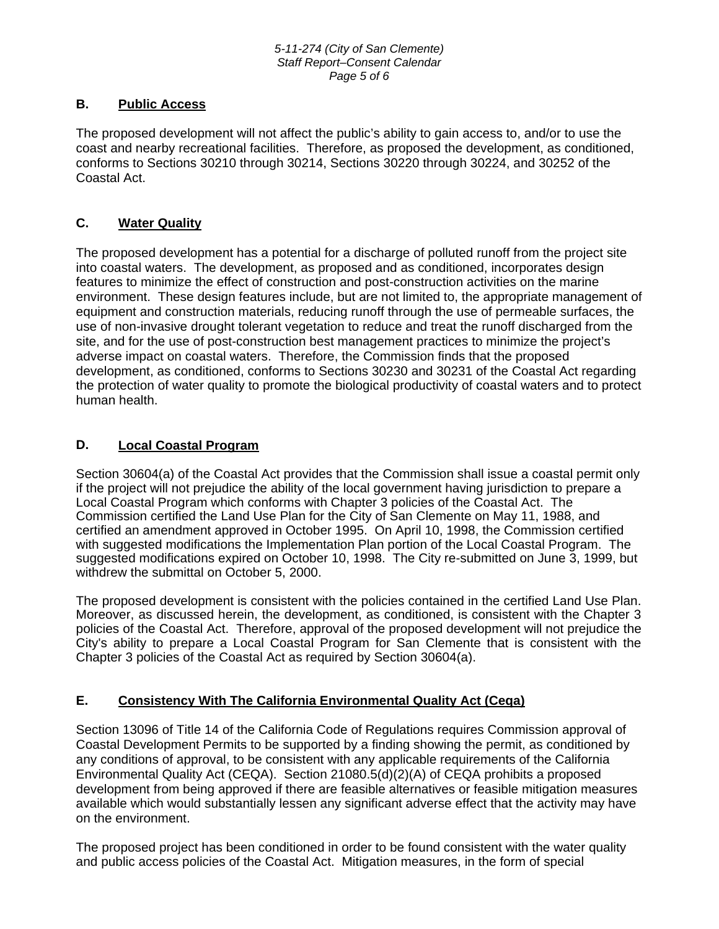## **B. Public Access**

The proposed development will not affect the public's ability to gain access to, and/or to use the coast and nearby recreational facilities. Therefore, as proposed the development, as conditioned, conforms to Sections 30210 through 30214, Sections 30220 through 30224, and 30252 of the Coastal Act.

## **C. Water Quality**

The proposed development has a potential for a discharge of polluted runoff from the project site into coastal waters. The development, as proposed and as conditioned, incorporates design features to minimize the effect of construction and post-construction activities on the marine environment. These design features include, but are not limited to, the appropriate management of equipment and construction materials, reducing runoff through the use of permeable surfaces, the use of non-invasive drought tolerant vegetation to reduce and treat the runoff discharged from the site, and for the use of post-construction best management practices to minimize the project's adverse impact on coastal waters. Therefore, the Commission finds that the proposed development, as conditioned, conforms to Sections 30230 and 30231 of the Coastal Act regarding the protection of water quality to promote the biological productivity of coastal waters and to protect human health.

## **D. Local Coastal Program**

Section 30604(a) of the Coastal Act provides that the Commission shall issue a coastal permit only if the project will not prejudice the ability of the local government having jurisdiction to prepare a Local Coastal Program which conforms with Chapter 3 policies of the Coastal Act. The Commission certified the Land Use Plan for the City of San Clemente on May 11, 1988, and certified an amendment approved in October 1995. On April 10, 1998, the Commission certified with suggested modifications the Implementation Plan portion of the Local Coastal Program. The suggested modifications expired on October 10, 1998. The City re-submitted on June 3, 1999, but withdrew the submittal on October 5, 2000.

The proposed development is consistent with the policies contained in the certified Land Use Plan. Moreover, as discussed herein, the development, as conditioned, is consistent with the Chapter 3 policies of the Coastal Act. Therefore, approval of the proposed development will not prejudice the City's ability to prepare a Local Coastal Program for San Clemente that is consistent with the Chapter 3 policies of the Coastal Act as required by Section 30604(a).

## **E. Consistency With The California Environmental Quality Act (Ceqa)**

Section 13096 of Title 14 of the California Code of Regulations requires Commission approval of Coastal Development Permits to be supported by a finding showing the permit, as conditioned by any conditions of approval, to be consistent with any applicable requirements of the California Environmental Quality Act (CEQA). Section 21080.5(d)(2)(A) of CEQA prohibits a proposed development from being approved if there are feasible alternatives or feasible mitigation measures available which would substantially lessen any significant adverse effect that the activity may have on the environment.

The proposed project has been conditioned in order to be found consistent with the water quality and public access policies of the Coastal Act. Mitigation measures, in the form of special